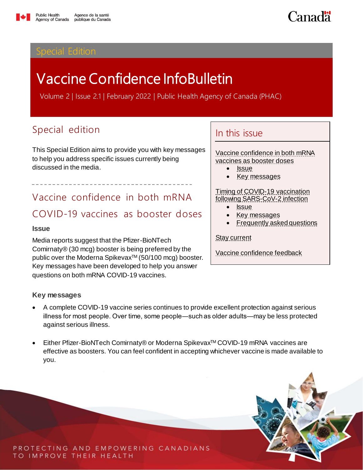<span id="page-0-3"></span>

# Vaccine Confidence InfoBulletin

Volume 2 | Issue 2.1 | February 2022 | Public Health Agency of Canada (PHAC)

## Special edition

This Special Edition aims to provide you with key messages to help you address specific issues currently being discussed in the media.

<span id="page-0-0"></span>Vaccine confidence in both mRNA COVID-19 vaccines as booster doses

#### <span id="page-0-1"></span>**Issue**

Media reports suggest that the Pfizer-BioNTech Comirnaty® (30 mcg) booster is being preferred by the public over the Moderna Spikevax™ (50/100 mcg) booster. Key messages have been developed to help you answer questions on both mRNA COVID-19 vaccines.

#### <span id="page-0-2"></span>**Key messages**

- A complete COVID-19 vaccine series continues to provide excellent protection against serious illness for most people. Over time, some people―such as older adults—may be less protected against serious illness.
- Either Pfizer-BioNTech Comirnaty® or Moderna Spikevax™ COVID-19 mRNA vaccines are effective as boosters. You can feel confident in accepting whichever vaccine is made available to you.

#### PROTECTING AND EMPOWERING CANADIANS TO IMPROVE THEIR HEALTH

In this issue

[Vaccine confidence in both mRNA](#page-0-0) [vaccines as](#page-0-0) booster doses

- <u>[Issue](#page-0-1)</u>
- [Key messages](#page-0-2)

[Timing of COVID-19 vaccination](#page-1-0)  [following SARS-CoV-2 infection](#page-1-0)

- I<u>ssue</u>
- [Key messages](#page-1-2)
- [Frequently asked questions](#page-2-0)

[Stay current](#page-5-0)

[Vaccine confidence feedback](#page-5-0)

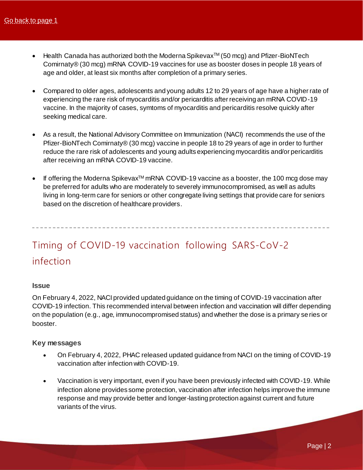- Health Canada has authorized both the Moderna Spikevax™ (50 mcg) and Pfizer-BioNTech Comirnaty® (30 mcg) mRNA COVID-19 vaccines for use as booster doses in people 18 years of age and older, at least six months after completion of a primary series.
- Compared to older ages, adolescents and young adults 12 to 29 years of age have a higher rate of experiencing the rare risk of myocarditis and/or pericarditis after receiving an mRNA COVID-19 vaccine. In the majority of cases, symtoms of myocarditis and pericarditis resolve quickly after seeking medical care.
- As a result, the National Advisory Committee on Immunization (NACI) recommends the use of the Pfizer-BioNTech Comirnaty® (30 mcg) vaccine in people 18 to 29 years of age in order to further reduce the rare risk of adolescents and young adults experiencing myocarditis and/or pericarditis after receiving an mRNA COVID-19 vaccine.
- If offering the Moderna SpikevaxTM mRNA COVID-19 vaccine as a booster, the 100 mcg dose may be preferred for adults who are moderately to severely immunocompromised, as well as adults living in long-term care for seniors or other congregate living settings that provide care for seniors based on the discretion of healthcare providers.

# <span id="page-1-0"></span>Timing of COVID-19 vaccination following SARS-CoV-2 infection

#### <span id="page-1-1"></span>**Issue**

On February 4, 2022, NACI provided updated guidance on the timing of COVID-19 vaccination after COVID-19 infection. This recommended interval between infection and vaccination will differ depending on the population (e.g., age, immunocompromised status) and whether the dose is a primary se ries or booster.

#### <span id="page-1-2"></span>**Key messages**

- On February 4, 2022, PHAC released updated guidance from NACI on the timing of COVID-19 vaccination after infection with COVID-19.
- Vaccination is very important, even if you have been previously infected with COVID-19. While infection alone provides some protection, vaccination after infection helps improve the immune response and may provide better and longer-lasting protection against current and future variants of the virus.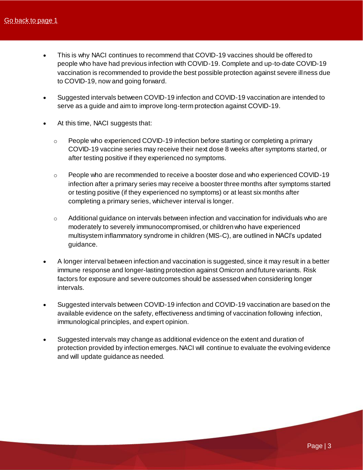- This is why NACI continues to recommend that COVID-19 vaccines should be offered to people who have had previous infection with COVID-19. Complete and up-to-date COVID-19 vaccination is recommended to provide the best possible protection against severe illness due to COVID-19, now and going forward.
- Suggested intervals between COVID-19 infection and COVID-19 vaccination are intended to serve as a guide and aim to improve long-term protection against COVID-19.
- At this time, NACI suggests that:
	- $\circ$  People who experienced COVID-19 infection before starting or completing a primary COVID-19 vaccine series may receive their next dose 8 weeks after symptoms started, or after testing positive if they experienced no symptoms.
	- o People who are recommended to receive a booster dose and who experienced COVID-19 infection after a primary series may receive a booster three months after symptoms started or testing positive (if they experienced no symptoms) or at least six months after completing a primary series, whichever interval is longer.
	- $\circ$  Additional guidance on intervals between infection and vaccination for individuals who are moderately to severely immunocompromised, or children who have experienced multisystem inflammatory syndrome in children (MIS-C), are outlined in NACI's updated guidance.
- A longer interval between infection and vaccination is suggested, since it may result in a better immune response and longer-lasting protection against Omicron and future variants. Risk factors for exposure and severe outcomes should be assessed when considering longer intervals.
- Suggested intervals between COVID-19 infection and COVID-19 vaccination are based on the available evidence on the safety, effectiveness and timing of vaccination following infection, immunological principles, and expert opinion.
- <span id="page-2-0"></span> Suggested intervals may change as additional evidence on the extent and duration of protection provided by infection emerges. NACI will continue to evaluate the evolving evidence and will update guidance as needed.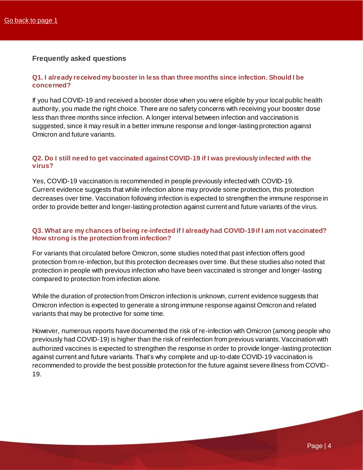### **Frequently asked questions**

#### **Q1. I already received my booster in less than three months since infection. Should I be concerned?**

If you had COVID-19 and received a booster dose when you were eligible by your local public health authority, you made the right choice. There are no safety concerns with receiving your booster dose less than three months since infection. A longer interval between infection and vaccination is suggested, since it may result in a better immune response and longer-lasting protection against Omicron and future variants.

#### **Q2. Do I still need to get vaccinated against COVID-19 if I was previously infected with the virus?**

Yes, COVID-19 vaccination is recommended in people previously infected with COVID-19. Current evidence suggests that while infection alone may provide some protection, this protection decreases over time. Vaccination following infection is expected to strengthen the immune response in order to provide better and longer-lasting protection against current and future variants of the virus.

#### **Q3. What are my chances of being re-infected if I already had COVID-19 if I am not vaccinated? How strong is the protection from infection?**

For variants that circulated before Omicron, some studies noted that past infection offers good protection from re-infection, but this protection decreases over time. But these studies also noted that protection in people with previous infection who have been vaccinated is stronger and longer-lasting compared to protection from infection alone.

While the duration of protection from Omicron infection is unknown, current evidence suggests that Omicron infection is expected to generate a strong immune response against Omicron and related variants that may be protective for some time.

However, numerous reports have documented the risk of re-infection with Omicron (among people who previously had COVID-19) is higher than the risk of reinfection from previous variants. Vaccination with authorized vaccines is expected to strengthen the response in order to provide longer-lasting protection against current and future variants. That's why complete and up-to-date COVID-19 vaccination is recommended to provide the best possible protection for the future against severe illness from COVID-19.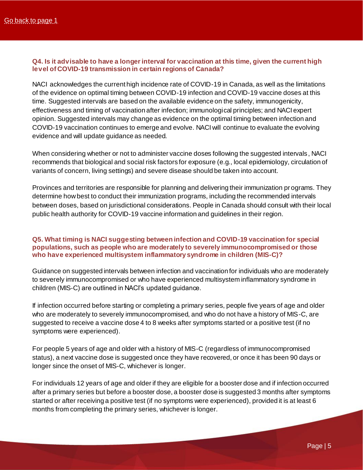#### **Q4. Is it advisable to have a longer interval for vaccination at this time, given the current high level of COVID-19 transmission in certain regions of Canada?**

NACI acknowledges the current high incidence rate of COVID-19 in Canada, as well as the limitations of the evidence on optimal timing between COVID-19 infection and COVID-19 vaccine doses at this time. Suggested intervals are based on the available evidence on the safety, immunogenicity, effectiveness and timing of vaccination after infection; immunological principles; and NACI expert opinion. Suggested intervals may change as evidence on the optimal timing between infection and COVID-19 vaccination continues to emerge and evolve. NACI will continue to evaluate the evolving evidence and will update guidance as needed.

When considering whether or not to administer vaccine doses following the suggested intervals, NACI recommends that biological and social risk factors for exposure (e.g., local epidemiology, circulation of variants of concern, living settings) and severe disease should be taken into account.

Provinces and territories are responsible for planning and delivering their immunization pr ograms. They determine how best to conduct their immunization programs, including the recommended intervals between doses, based on jurisdictional considerations. People in Canada should consult with their local public health authority for COVID-19 vaccine information and guidelines in their region.

#### **Q5. What timing is NACI suggesting between infection and COVID-19 vaccination for special populations, such as people who are moderately to severely immunocompromised or those who have experienced multisystem inflammatory syndrome in children (MIS-C)?**

Guidance on suggested intervals between infection and vaccination for individuals who are moderately to severely immunocompromised or who have experienced multisystem inflammatory syndrome in children (MIS-C) are outlined in NACI's updated guidance.

If infection occurred before starting or completing a primary series, people five years of age and older who are moderately to severely immunocompromised, and who do not have a history of MIS-C, are suggested to receive a vaccine dose 4 to 8 weeks after symptoms started or a positive test (if no symptoms were experienced).

For people 5 years of age and older with a history of MIS-C (regardless of immunocompromised status), a next vaccine dose is suggested once they have recovered, or once it has been 90 days or longer since the onset of MIS-C, whichever is longer.

For individuals 12 years of age and older if they are eligible for a booster dose and if infection occurred after a primary series but before a booster dose, a booster dose is suggested 3 months after symptoms started or after receiving a positive test (if no symptoms were experienced), provided it is at least 6 months from completing the primary series, whichever is longer.